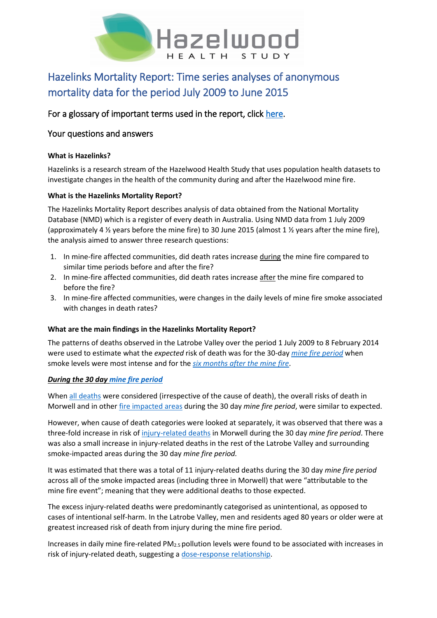

# Hazelinks Mortality Report: Time series analyses of anonymous mortality data for the period July 2009 to June 2015

# For a glossary of important terms used in the report, click [here.](#page-2-0)

# Your questions and answers

# **What is Hazelinks?**

Hazelinks is a research stream of the Hazelwood Health Study that uses population health datasets to investigate changes in the health of the community during and after the Hazelwood mine fire.

# **What is the Hazelinks Mortality Report?**

The Hazelinks Mortality Report describes analysis of data obtained from the National Mortality Database (NMD) which is a register of every death in Australia. Using NMD data from 1 July 2009 (approximately 4 ½ years before the mine fire) to 30 June 2015 (almost 1 ½ years after the mine fire), the analysis aimed to answer three research questions:

- 1. In mine-fire affected communities, did death rates increase during the mine fire compared to similar time periods before and after the fire?
- 2. In mine-fire affected communities, did death rates increase after the mine fire compared to before the fire?
- 3. In mine-fire affected communities, were changes in the daily levels of mine fire smoke associated with changes in death rates?

# **What are the main findings in the Hazelinks Mortality Report?**

The patterns of deaths observed in the Latrobe Valley over the period 1 July 2009 to 8 February 2014 were used to estimate what the *expected* risk of death was for the 30-day *[mine fire period](#page-2-1)* when smoke levels were most intense and for the *[six months after the mine fire](#page-3-0)*.

# *During the 30 day [mine fire period](#page-2-1)*

Whe[n all deaths](#page-3-1) were considered (irrespective of the cause of death), the overall risks of death in Morwell and in other [fire impacted areas](#page-2-2) during the 30 day *mine fire period*, were similar to expected.

However, when cause of death categories were looked at separately, it was observed that there was a three-fold increase in risk of [injury-related deaths](#page-3-2) in Morwell during the 30 day *mine fire period*. There was also a small increase in injury-related deaths in the rest of the Latrobe Valley and surrounding smoke-impacted areas during the 30 day *mine fire period.*

It was estimated that there was a total of 11 injury-related deaths during the 30 day *mine fire period* across all of the smoke impacted areas (including three in Morwell) that were "attributable to the mine fire event"; meaning that they were additional deaths to those expected.

The excess injury-related deaths were predominantly categorised as unintentional, as opposed to cases of intentional self-harm. In the Latrobe Valley, men and residents aged 80 years or older were at greatest increased risk of death from injury during the mine fire period.

Increases in daily mine fire-related PM2.5 pollution levels were found to be associated with increases in risk of injury-related death, suggesting a [dose-response relationship.](#page-3-3)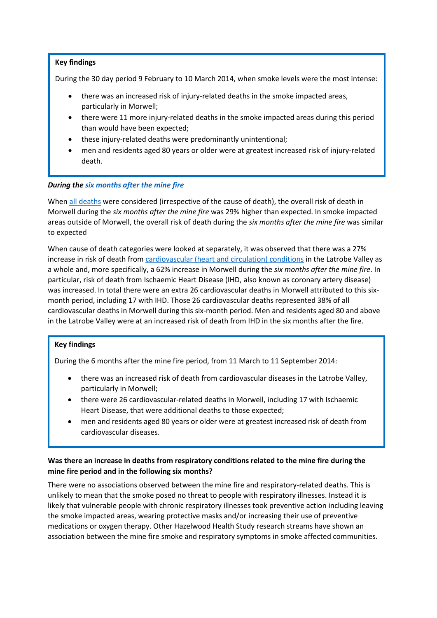#### **Key findings**

During the 30 day period 9 February to 10 March 2014, when smoke levels were the most intense:

- there was an increased risk of injury-related deaths in the smoke impacted areas, particularly in Morwell;
- there were 11 more injury-related deaths in the smoke impacted areas during this period than would have been expected;
- these injury-related deaths were predominantly unintentional;
- men and residents aged 80 years or older were at greatest increased risk of injury-related death.

#### *During the [six months after the mine fire](#page-3-0)*

Whe[n all deaths](#page-3-1) were considered (irrespective of the cause of death), the overall risk of death in Morwell during the *six months after the mine fire* was 29% higher than expected. In smoke impacted areas outside of Morwell, the overall risk of death during the *six months after the mine fire* was similar to expected

When cause of death categories were looked at separately, it was observed that there was a 27% increase in risk of death from [cardiovascular \(heart and circulation\) conditions](#page-3-4) in the Latrobe Valley as a whole and, more specifically, a 62% increase in Morwell during the *six months after the mine fire*. In particular, risk of death from Ischaemic Heart Disease (IHD, also known as coronary artery disease) was increased. In total there were an extra 26 cardiovascular deaths in Morwell attributed to this sixmonth period, including 17 with IHD. Those 26 cardiovascular deaths represented 38% of all cardiovascular deaths in Morwell during this six-month period. Men and residents aged 80 and above in the Latrobe Valley were at an increased risk of death from IHD in the six months after the fire.

#### **Key findings**

During the 6 months after the mine fire period, from 11 March to 11 September 2014:

- there was an increased risk of death from cardiovascular diseases in the Latrobe Valley, particularly in Morwell;
- there were 26 cardiovascular-related deaths in Morwell, including 17 with Ischaemic Heart Disease, that were additional deaths to those expected;
- men and residents aged 80 years or older were at greatest increased risk of death from cardiovascular diseases.

# **Was there an increase in deaths from respiratory conditions related to the mine fire during the mine fire period and in the following six months?**

There were no associations observed between the mine fire and respiratory-related deaths. This is unlikely to mean that the smoke posed no threat to people with respiratory illnesses. Instead it is likely that vulnerable people with chronic respiratory illnesses took preventive action including leaving the smoke impacted areas, wearing protective masks and/or increasing their use of preventive medications or oxygen therapy. Other Hazelwood Health Study research streams have shown an association between the mine fire smoke and respiratory symptoms in smoke affected communities.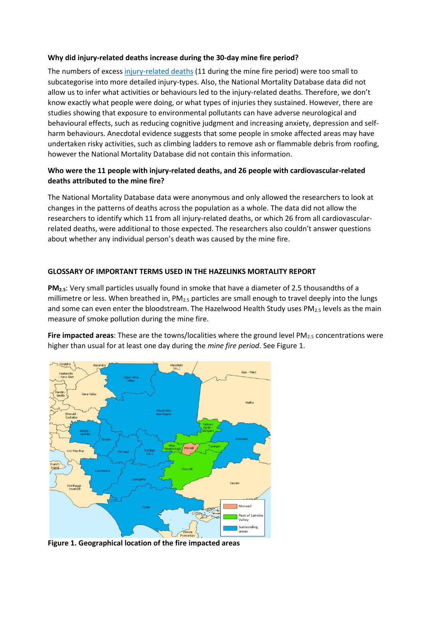#### **Why did injury-related deaths increase during the 30-day mine fire period?**

The numbers of exces[s injury-related deaths](#page-3-2) (11 during the mine fire period) were too small to subcategorise into more detailed injury-types. Also, the National Mortality Database data did not allow us to infer what activities or behaviours led to the injury-related deaths. Therefore, we don't know exactly what people were doing, or what types of injuries they sustained. However, there are studies showing that exposure to environmental pollutants can have adverse neurological and behavioural effects, such as reducing cognitive judgment and increasing anxiety, depression and selfharm behaviours. Anecdotal evidence suggests that some people in smoke affected areas may have undertaken risky activities, such as climbing ladders to remove ash or flammable debris from roofing, however the National Mortality Database did not contain this information.

# **Who were the 11 people with injury-related deaths, and 26 people with cardiovascular-related deaths attributed to the mine fire?**

The National Mortality Database data were anonymous and only allowed the researchers to look at changes in the patterns of deaths across the population as a whole. The data did not allow the researchers to identify which 11 from all injury-related deaths, or which 26 from all cardiovascularrelated deaths, were additional to those expected. The researchers also couldn't answer questions about whether any individual person's death was caused by the mine fire.

# <span id="page-2-0"></span>**GLOSSARY OF IMPORTANT TERMS USED IN THE HAZELINKS MORTALITY REPORT**

**PM2.5**: Very small particles usually found in smoke that have a diameter of 2.5 thousandths of a millimetre or less. When breathed in, PM<sub>2.5</sub> particles are small enough to travel deeply into the lungs and some can even enter the bloodstream. The Hazelwood Health Study uses PM $_{2.5}$  levels as the main measure of smoke pollution during the mine fire.

<span id="page-2-2"></span>**Fire impacted areas:** These are the towns/localities where the ground level PM<sub>2.5</sub> concentrations were higher than usual for at least one day during the *mine fire period*. See Figure 1.



<span id="page-2-1"></span>**Figure 1. Geographical location of the fire impacted areas**